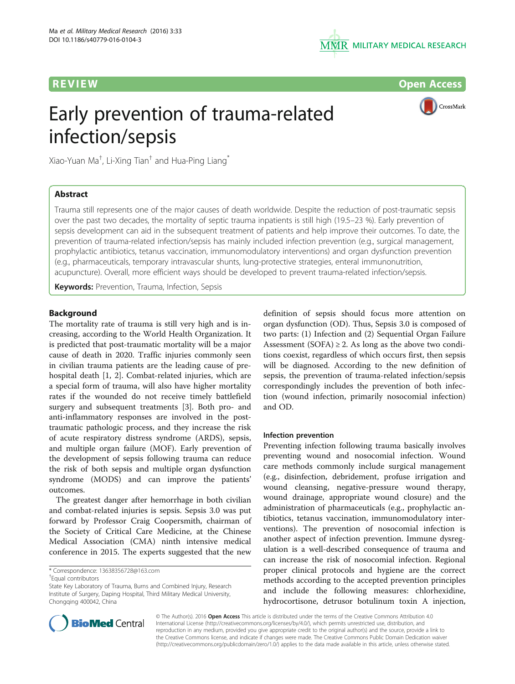

R EVI EW Open Access

# Early prevention of trauma-related infection/sepsis



Xiao-Yuan Ma $^\dagger$ , Li-Xing Tian $^\dagger$  and Hua-Ping Liang $^*$ 

# Abstract

Trauma still represents one of the major causes of death worldwide. Despite the reduction of post-traumatic sepsis over the past two decades, the mortality of septic trauma inpatients is still high (19.5–23 %). Early prevention of sepsis development can aid in the subsequent treatment of patients and help improve their outcomes. To date, the prevention of trauma-related infection/sepsis has mainly included infection prevention (e.g., surgical management, prophylactic antibiotics, tetanus vaccination, immunomodulatory interventions) and organ dysfunction prevention (e.g., pharmaceuticals, temporary intravascular shunts, lung-protective strategies, enteral immunonutrition, acupuncture). Overall, more efficient ways should be developed to prevent trauma-related infection/sepsis.

Keywords: Prevention, Trauma, Infection, Sepsis

# Background

The mortality rate of trauma is still very high and is increasing, according to the World Health Organization. It is predicted that post-traumatic mortality will be a major cause of death in 2020. Traffic injuries commonly seen in civilian trauma patients are the leading cause of prehospital death [[1, 2](#page-5-0)]. Combat-related injuries, which are a special form of trauma, will also have higher mortality rates if the wounded do not receive timely battlefield surgery and subsequent treatments [[3\]](#page-5-0). Both pro- and anti-inflammatory responses are involved in the posttraumatic pathologic process, and they increase the risk of acute respiratory distress syndrome (ARDS), sepsis, and multiple organ failure (MOF). Early prevention of the development of sepsis following trauma can reduce the risk of both sepsis and multiple organ dysfunction syndrome (MODS) and can improve the patients' outcomes.

The greatest danger after hemorrhage in both civilian and combat-related injuries is sepsis. Sepsis 3.0 was put forward by Professor Craig Coopersmith, chairman of the Society of Critical Care Medicine, at the Chinese Medical Association (CMA) ninth intensive medical conference in 2015. The experts suggested that the new definition of sepsis should focus more attention on organ dysfunction (OD). Thus, Sepsis 3.0 is composed of two parts: (1) Infection and (2) Sequential Organ Failure Assessment (SOFA)  $\geq$  2. As long as the above two conditions coexist, regardless of which occurs first, then sepsis will be diagnosed. According to the new definition of sepsis, the prevention of trauma-related infection/sepsis correspondingly includes the prevention of both infection (wound infection, primarily nosocomial infection) and OD.

# Infection prevention

Preventing infection following trauma basically involves preventing wound and nosocomial infection. Wound care methods commonly include surgical management (e.g., disinfection, debridement, profuse irrigation and wound cleansing, negative-pressure wound therapy, wound drainage, appropriate wound closure) and the administration of pharmaceuticals (e.g., prophylactic antibiotics, tetanus vaccination, immunomodulatory interventions). The prevention of nosocomial infection is another aspect of infection prevention. Immune dysregulation is a well-described consequence of trauma and can increase the risk of nosocomial infection. Regional proper clinical protocols and hygiene are the correct methods according to the accepted prevention principles and include the following measures: chlorhexidine, hydrocortisone, detrusor botulinum toxin A injection,



© The Author(s). 2016 Open Access This article is distributed under the terms of the Creative Commons Attribution 4.0 International License [\(http://creativecommons.org/licenses/by/4.0/](http://creativecommons.org/licenses/by/4.0/)), which permits unrestricted use, distribution, and reproduction in any medium, provided you give appropriate credit to the original author(s) and the source, provide a link to the Creative Commons license, and indicate if changes were made. The Creative Commons Public Domain Dedication waiver [\(http://creativecommons.org/publicdomain/zero/1.0/](http://creativecommons.org/publicdomain/zero/1.0/)) applies to the data made available in this article, unless otherwise stated.

<sup>\*</sup> Correspondence: [13638356728@163.com](mailto:13638356728@163.com) †

Equal contributors

State Key Laboratory of Trauma, Burns and Combined Injury, Research Institute of Surgery, Daping Hospital, Third Military Medical University, Chongqing 400042, China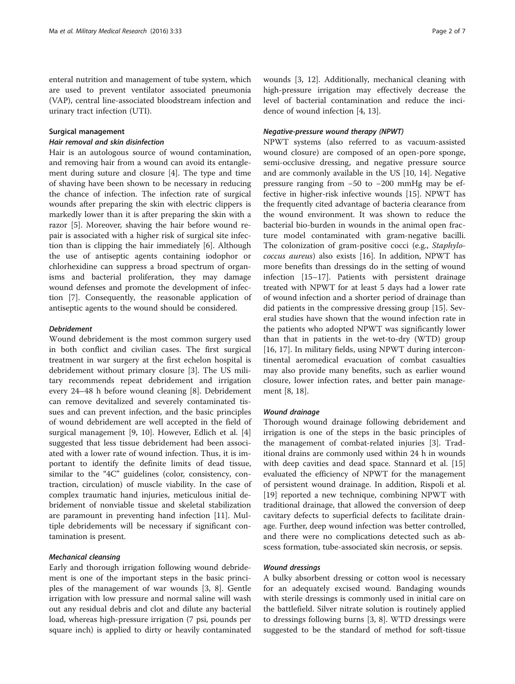enteral nutrition and management of tube system, which are used to prevent ventilator associated pneumonia (VAP), central line-associated bloodstream infection and urinary tract infection (UTI).

# Surgical management

# Hair removal and skin disinfection

Hair is an autologous source of wound contamination, and removing hair from a wound can avoid its entanglement during suture and closure [[4\]](#page-5-0). The type and time of shaving have been shown to be necessary in reducing the chance of infection. The infection rate of surgical wounds after preparing the skin with electric clippers is markedly lower than it is after preparing the skin with a razor [\[5](#page-5-0)]. Moreover, shaving the hair before wound repair is associated with a higher risk of surgical site infection than is clipping the hair immediately [\[6](#page-5-0)]. Although the use of antiseptic agents containing iodophor or chlorhexidine can suppress a broad spectrum of organisms and bacterial proliferation, they may damage wound defenses and promote the development of infection [\[7](#page-5-0)]. Consequently, the reasonable application of antiseptic agents to the wound should be considered.

# Debridement

Wound debridement is the most common surgery used in both conflict and civilian cases. The first surgical treatment in war surgery at the first echelon hospital is debridement without primary closure [[3](#page-5-0)]. The US military recommends repeat debridement and irrigation every 24–48 h before wound cleaning [[8\]](#page-5-0). Debridement can remove devitalized and severely contaminated tissues and can prevent infection, and the basic principles of wound debridement are well accepted in the field of surgical management [\[9](#page-5-0), [10](#page-5-0)]. However, Edlich et al. [\[4](#page-5-0)] suggested that less tissue debridement had been associated with a lower rate of wound infection. Thus, it is important to identify the definite limits of dead tissue, similar to the "4C" guidelines (color, consistency, contraction, circulation) of muscle viability. In the case of complex traumatic hand injuries, meticulous initial debridement of nonviable tissue and skeletal stabilization are paramount in preventing hand infection [[11](#page-5-0)]. Multiple debridements will be necessary if significant contamination is present.

# Mechanical cleansing

Early and thorough irrigation following wound debridement is one of the important steps in the basic principles of the management of war wounds [[3, 8](#page-5-0)]. Gentle irrigation with low pressure and normal saline will wash out any residual debris and clot and dilute any bacterial load, whereas high-pressure irrigation (7 psi, pounds per square inch) is applied to dirty or heavily contaminated

wounds [\[3, 12](#page-5-0)]. Additionally, mechanical cleaning with high-pressure irrigation may effectively decrease the level of bacterial contamination and reduce the incidence of wound infection [\[4](#page-5-0), [13](#page-5-0)].

# Negative-pressure wound therapy (NPWT)

NPWT systems (also referred to as vacuum-assisted wound closure) are composed of an open-pore sponge, semi-occlusive dressing, and negative pressure source and are commonly available in the US [\[10](#page-5-0), [14](#page-5-0)]. Negative pressure ranging from −50 to −200 mmHg may be effective in higher-risk infective wounds [[15](#page-5-0)]. NPWT has the frequently cited advantage of bacteria clearance from the wound environment. It was shown to reduce the bacterial bio-burden in wounds in the animal open fracture model contaminated with gram-negative bacilli. The colonization of gram-positive cocci (e.g., Staphylococcus aureus) also exists [\[16\]](#page-5-0). In addition, NPWT has more benefits than dressings do in the setting of wound infection [[15](#page-5-0)–[17](#page-5-0)]. Patients with persistent drainage treated with NPWT for at least 5 days had a lower rate of wound infection and a shorter period of drainage than did patients in the compressive dressing group [[15\]](#page-5-0). Several studies have shown that the wound infection rate in the patients who adopted NPWT was significantly lower than that in patients in the wet-to-dry (WTD) group [[16, 17\]](#page-5-0). In military fields, using NPWT during intercontinental aeromedical evacuation of combat casualties may also provide many benefits, such as earlier wound closure, lower infection rates, and better pain management [[8, 18\]](#page-5-0).

# Wound drainage

Thorough wound drainage following debridement and irrigation is one of the steps in the basic principles of the management of combat-related injuries [[3\]](#page-5-0). Traditional drains are commonly used within 24 h in wounds with deep cavities and dead space. Stannard et al. [[15](#page-5-0)] evaluated the efficiency of NPWT for the management of persistent wound drainage. In addition, Rispoli et al. [[19\]](#page-5-0) reported a new technique, combining NPWT with traditional drainage, that allowed the conversion of deep cavitary defects to superficial defects to facilitate drainage. Further, deep wound infection was better controlled, and there were no complications detected such as abscess formation, tube-associated skin necrosis, or sepsis.

# Wound dressings

A bulky absorbent dressing or cotton wool is necessary for an adequately excised wound. Bandaging wounds with sterile dressings is commonly used in initial care on the battlefield. Silver nitrate solution is routinely applied to dressings following burns [[3, 8](#page-5-0)]. WTD dressings were suggested to be the standard of method for soft-tissue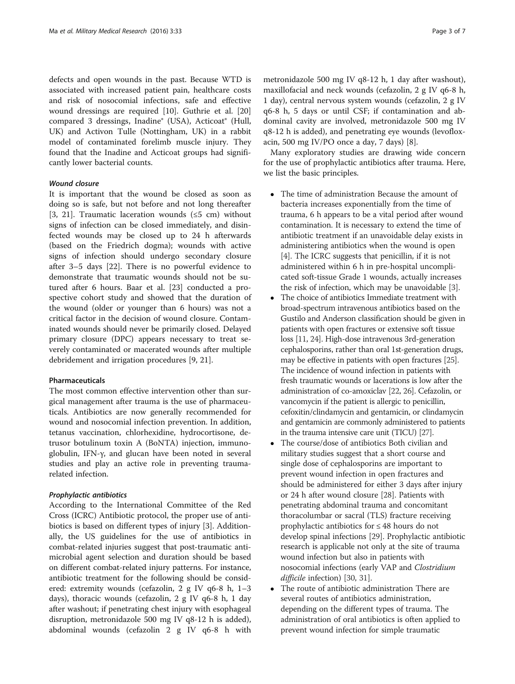defects and open wounds in the past. Because WTD is associated with increased patient pain, healthcare costs and risk of nosocomial infections, safe and effective wound dressings are required [\[10](#page-5-0)]. Guthrie et al. [[20](#page-5-0)] compared 3 dressings, Inadine® (USA), Acticoat® (Hull, UK) and Activon Tulle (Nottingham, UK) in a rabbit model of contaminated forelimb muscle injury. They found that the Inadine and Acticoat groups had significantly lower bacterial counts.

# Wound closure

It is important that the wound be closed as soon as doing so is safe, but not before and not long thereafter [[3, 21](#page-5-0)]. Traumatic laceration wounds ( $\leq$ 5 cm) without signs of infection can be closed immediately, and disinfected wounds may be closed up to 24 h afterwards (based on the Friedrich dogma); wounds with active signs of infection should undergo secondary closure after 3–5 days [\[22\]](#page-5-0). There is no powerful evidence to demonstrate that traumatic wounds should not be sutured after 6 hours. Baar et al. [[23\]](#page-5-0) conducted a prospective cohort study and showed that the duration of the wound (older or younger than 6 hours) was not a critical factor in the decision of wound closure. Contaminated wounds should never be primarily closed. Delayed primary closure (DPC) appears necessary to treat severely contaminated or macerated wounds after multiple debridement and irrigation procedures [\[9](#page-5-0), [21](#page-5-0)].

# Pharmaceuticals

The most common effective intervention other than surgical management after trauma is the use of pharmaceuticals. Antibiotics are now generally recommended for wound and nosocomial infection prevention. In addition, tetanus vaccination, chlorhexidine, hydrocortisone, detrusor botulinum toxin A (BoNTA) injection, immunoglobulin, IFN-γ, and glucan have been noted in several studies and play an active role in preventing traumarelated infection.

# Prophylactic antibiotics

According to the International Committee of the Red Cross (ICRC) Antibiotic protocol, the proper use of antibiotics is based on different types of injury [[3](#page-5-0)]. Additionally, the US guidelines for the use of antibiotics in combat-related injuries suggest that post-traumatic antimicrobial agent selection and duration should be based on different combat-related injury patterns. For instance, antibiotic treatment for the following should be considered: extremity wounds (cefazolin, 2 g IV q6-8 h, 1–3 days), thoracic wounds (cefazolin, 2 g IV q6-8 h, 1 day after washout; if penetrating chest injury with esophageal disruption, metronidazole 500 mg IV q8-12 h is added), abdominal wounds (cefazolin 2 g IV q6-8 h with

metronidazole 500 mg IV q8-12 h, 1 day after washout), maxillofacial and neck wounds (cefazolin, 2 g IV q6-8 h, 1 day), central nervous system wounds (cefazolin, 2 g IV q6-8 h, 5 days or until CSF; if contamination and abdominal cavity are involved, metronidazole 500 mg IV q8-12 h is added), and penetrating eye wounds (levofloxacin, 500 mg IV/PO once a day, 7 days) [\[8](#page-5-0)].

Many exploratory studies are drawing wide concern for the use of prophylactic antibiotics after trauma. Here, we list the basic principles.

- The time of administration Because the amount of bacteria increases exponentially from the time of trauma, 6 h appears to be a vital period after wound contamination. It is necessary to extend the time of antibiotic treatment if an unavoidable delay exists in administering antibiotics when the wound is open [[4\]](#page-5-0). The ICRC suggests that penicillin, if it is not administered within 6 h in pre-hospital uncomplicated soft-tissue Grade 1 wounds, actually increases the risk of infection, which may be unavoidable [\[3](#page-5-0)].
- The choice of antibiotics Immediate treatment with broad-spectrum intravenous antibiotics based on the Gustilo and Anderson classification should be given in patients with open fractures or extensive soft tissue loss [\[11](#page-5-0), [24\]](#page-5-0). High-dose intravenous 3rd-generation cephalosporins, rather than oral 1st-generation drugs, may be effective in patients with open fractures [\[25\]](#page-5-0). The incidence of wound infection in patients with fresh traumatic wounds or lacerations is low after the administration of co-amoxiclav [\[22,](#page-5-0) [26\]](#page-5-0). Cefazolin, or vancomycin if the patient is allergic to penicillin, cefoxitin/clindamycin and gentamicin, or clindamycin and gentamicin are commonly administered to patients in the trauma intensive care unit (TICU) [[27\]](#page-5-0).
- The course/dose of antibiotics Both civilian and military studies suggest that a short course and single dose of cephalosporins are important to prevent wound infection in open fractures and should be administered for either 3 days after injury or 24 h after wound closure [[28](#page-5-0)]. Patients with penetrating abdominal trauma and concomitant thoracolumbar or sacral (TLS) fracture receiving prophylactic antibiotics for ≤ 48 hours do not develop spinal infections [[29](#page-5-0)]. Prophylactic antibiotic research is applicable not only at the site of trauma wound infection but also in patients with nosocomial infections (early VAP and Clostridium difficile infection) [[30,](#page-5-0) [31](#page-5-0)].
- The route of antibiotic administration There are several routes of antibiotics administration, depending on the different types of trauma. The administration of oral antibiotics is often applied to prevent wound infection for simple traumatic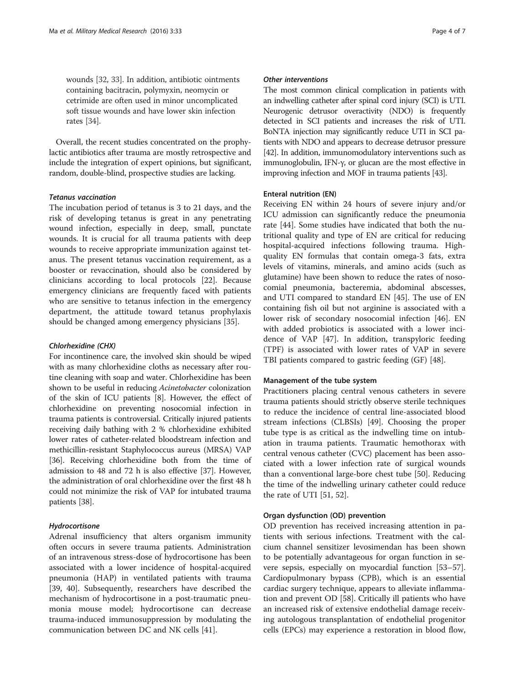wounds [[32,](#page-5-0) [33](#page-5-0)]. In addition, antibiotic ointments containing bacitracin, polymyxin, neomycin or cetrimide are often used in minor uncomplicated soft tissue wounds and have lower skin infection rates [[34\]](#page-5-0).

Overall, the recent studies concentrated on the prophylactic antibiotics after trauma are mostly retrospective and include the integration of expert opinions, but significant, random, double-blind, prospective studies are lacking.

# Tetanus vaccination

The incubation period of tetanus is 3 to 21 days, and the risk of developing tetanus is great in any penetrating wound infection, especially in deep, small, punctate wounds. It is crucial for all trauma patients with deep wounds to receive appropriate immunization against tetanus. The present tetanus vaccination requirement, as a booster or revaccination, should also be considered by clinicians according to local protocols [\[22\]](#page-5-0). Because emergency clinicians are frequently faced with patients who are sensitive to tetanus infection in the emergency department, the attitude toward tetanus prophylaxis should be changed among emergency physicians [[35\]](#page-5-0).

# Chlorhexidine (CHX)

For incontinence care, the involved skin should be wiped with as many chlorhexidine cloths as necessary after routine cleaning with soap and water. Chlorhexidine has been shown to be useful in reducing Acinetobacter colonization of the skin of ICU patients [[8\]](#page-5-0). However, the effect of chlorhexidine on preventing nosocomial infection in trauma patients is controversial. Critically injured patients receiving daily bathing with 2 % chlorhexidine exhibited lower rates of catheter-related bloodstream infection and methicillin-resistant Staphylococcus aureus (MRSA) VAP [[36](#page-5-0)]. Receiving chlorhexidine both from the time of admission to 48 and 72 h is also effective [[37](#page-5-0)]. However, the administration of oral chlorhexidine over the first 48 h could not minimize the risk of VAP for intubated trauma patients [[38\]](#page-5-0).

# Hydrocortisone

Adrenal insufficiency that alters organism immunity often occurs in severe trauma patients. Administration of an intravenous stress-dose of hydrocortisone has been associated with a lower incidence of hospital-acquired pneumonia (HAP) in ventilated patients with trauma [[39, 40\]](#page-5-0). Subsequently, researchers have described the mechanism of hydrocortisone in a post-traumatic pneumonia mouse model; hydrocortisone can decrease trauma-induced immunosuppression by modulating the communication between DC and NK cells [\[41](#page-5-0)].

# Other interventions

The most common clinical complication in patients with an indwelling catheter after spinal cord injury (SCI) is UTI. Neurogenic detrusor overactivity (NDO) is frequently detected in SCI patients and increases the risk of UTI. BoNTA injection may significantly reduce UTI in SCI patients with NDO and appears to decrease detrusor pressure [[42](#page-6-0)]. In addition, immunomodulatory interventions such as immunoglobulin, IFN-γ, or glucan are the most effective in improving infection and MOF in trauma patients [[43](#page-6-0)].

# Enteral nutrition (EN)

Receiving EN within 24 hours of severe injury and/or ICU admission can significantly reduce the pneumonia rate [[44\]](#page-6-0). Some studies have indicated that both the nutritional quality and type of EN are critical for reducing hospital-acquired infections following trauma. Highquality EN formulas that contain omega-3 fats, extra levels of vitamins, minerals, and amino acids (such as glutamine) have been shown to reduce the rates of nosocomial pneumonia, bacteremia, abdominal abscesses, and UTI compared to standard EN [[45](#page-6-0)]. The use of EN containing fish oil but not arginine is associated with a lower risk of secondary nosocomial infection [[46](#page-6-0)]. EN with added probiotics is associated with a lower incidence of VAP [[47](#page-6-0)]. In addition, transpyloric feeding (TPF) is associated with lower rates of VAP in severe TBI patients compared to gastric feeding (GF) [\[48](#page-6-0)].

# Management of the tube system

Practitioners placing central venous catheters in severe trauma patients should strictly observe sterile techniques to reduce the incidence of central line-associated blood stream infections (CLBSIs) [\[49\]](#page-6-0). Choosing the proper tube type is as critical as the indwelling time on intubation in trauma patients. Traumatic hemothorax with central venous catheter (CVC) placement has been associated with a lower infection rate of surgical wounds than a conventional large-bore chest tube [\[50](#page-6-0)]. Reducing the time of the indwelling urinary catheter could reduce the rate of UTI [\[51](#page-6-0), [52](#page-6-0)].

# Organ dysfunction (OD) prevention

OD prevention has received increasing attention in patients with serious infections. Treatment with the calcium channel sensitizer levosimendan has been shown to be potentially advantageous for organ function in severe sepsis, especially on myocardial function [[53](#page-6-0)–[57](#page-6-0)]. Cardiopulmonary bypass (CPB), which is an essential cardiac surgery technique, appears to alleviate inflammation and prevent OD [\[58](#page-6-0)]. Critically ill patients who have an increased risk of extensive endothelial damage receiving autologous transplantation of endothelial progenitor cells (EPCs) may experience a restoration in blood flow,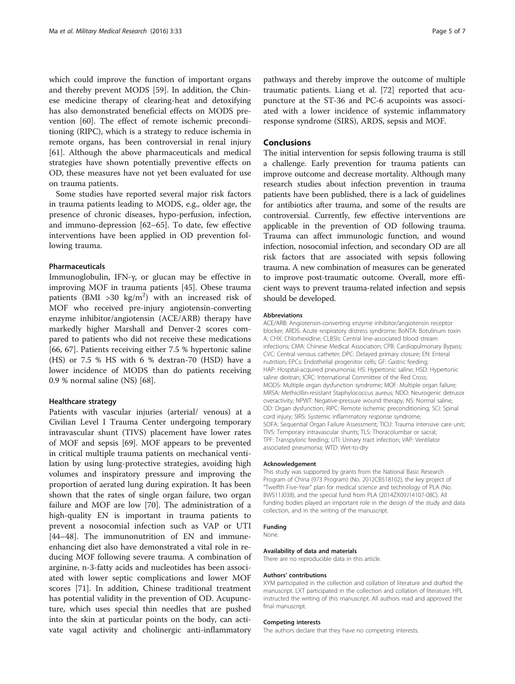which could improve the function of important organs and thereby prevent MODS [[59\]](#page-6-0). In addition, the Chinese medicine therapy of clearing-heat and detoxifying has also demonstrated beneficial effects on MODS prevention [\[60](#page-6-0)]. The effect of remote ischemic preconditioning (RIPC), which is a strategy to reduce ischemia in remote organs, has been controversial in renal injury [[61\]](#page-6-0). Although the above pharmaceuticals and medical strategies have shown potentially preventive effects on OD, these measures have not yet been evaluated for use on trauma patients.

Some studies have reported several major risk factors in trauma patients leading to MODS, e.g., older age, the presence of chronic diseases, hypo-perfusion, infection, and immuno-depression [[62](#page-6-0)–[65](#page-6-0)]. To date, few effective interventions have been applied in OD prevention following trauma.

#### Pharmaceuticals

Immunoglobulin, IFN-γ, or glucan may be effective in improving MOF in trauma patients [[45\]](#page-6-0). Obese trauma patients (BMI > 30 kg/m<sup>2</sup>) with an increased risk of MOF who received pre-injury angiotensin-converting enzyme inhibitor/angiotensin (ACE/ARB) therapy have markedly higher Marshall and Denver-2 scores compared to patients who did not receive these medications [[66, 67\]](#page-6-0). Patients receiving either 7.5 % hypertonic saline (HS) or 7.5 % HS with 6 % dextran-70 (HSD) have a lower incidence of MODS than do patients receiving 0.9 % normal saline (NS) [[68\]](#page-6-0).

# Healthcare strategy

Patients with vascular injuries (arterial/ venous) at a Civilian Level I Trauma Center undergoing temporary intravascular shunt (TIVS) placement have lower rates of MOF and sepsis [\[69](#page-6-0)]. MOF appears to be prevented in critical multiple trauma patients on mechanical ventilation by using lung-protective strategies, avoiding high volumes and inspiratory pressure and improving the proportion of aerated lung during expiration. It has been shown that the rates of single organ failure, two organ failure and MOF are low [\[70](#page-6-0)]. The administration of a high-quality EN is important in trauma patients to prevent a nosocomial infection such as VAP or UTI [[44](#page-6-0)–[48](#page-6-0)]. The immunonutrition of EN and immuneenhancing diet also have demonstrated a vital role in reducing MOF following severe trauma. A combination of arginine, n-3-fatty acids and nucleotides has been associated with lower septic complications and lower MOF scores [\[71\]](#page-6-0). In addition, Chinese traditional treatment has potential validity in the prevention of OD. Acupuncture, which uses special thin needles that are pushed into the skin at particular points on the body, can activate vagal activity and cholinergic anti-inflammatory

pathways and thereby improve the outcome of multiple traumatic patients. Liang et al. [\[72](#page-6-0)] reported that acupuncture at the ST-36 and PC-6 acupoints was associated with a lower incidence of systemic inflammatory response syndrome (SIRS), ARDS, sepsis and MOF.

# Conclusions

The initial intervention for sepsis following trauma is still a challenge. Early prevention for trauma patients can improve outcome and decrease mortality. Although many research studies about infection prevention in trauma patients have been published, there is a lack of guidelines for antibiotics after trauma, and some of the results are controversial. Currently, few effective interventions are applicable in the prevention of OD following trauma. Trauma can affect immunologic function, and wound infection, nosocomial infection, and secondary OD are all risk factors that are associated with sepsis following trauma. A new combination of measures can be generated to improve post-traumatic outcome. Overall, more efficient ways to prevent trauma-related infection and sepsis should be developed.

#### Abbreviations

ACE/ARB: Angiotensin-converting enzyme inhibitor/angiotensin receptor blocker; ARDS: Acute respiratory distress syndrome; BoNTA: Botulinum toxin A; CHX: Chlorhexidine; CLBSIs: Central line-associated blood stream infections; CMA: Chinese Medical Association; CPB: Cardiopulmonary Bypass; CVC: Central venous catheter; DPC: Delayed primary closure; EN: Enteral nutrition; EPCs: Endothelial progenitor cells; GF: Gastric feeding; HAP: Hospital-acquired pneumonia; HS: Hypertonic saline; HSD: Hypertonic saline dextran; ICRC: International Committee of the Red Cross; MODS: Multiple organ dysfunction syndrome; MOF: Multiple organ failure; MRSA: Methicillin-resistant Staphylococcus aureus; NDO: Neurogenic detrusor overactivity; NPWT: Negative-pressure wound therapy; NS: Normal saline; OD: Organ dysfunction; RIPC: Remote ischemic preconditioning; SCI: Spinal cord injury; SIRS: Systemic inflammatory response syndrome; SOFA: Sequential Organ Failure Assessment; TICU: Trauma intensive care unit; TIVS: Temporary intravascular shunts; TLS: Thoracolumbar or sacral; TPF: Transpyloric feeding; UTI: Urinary tract infection; VAP: Ventilator associated pneumonia; WTD: Wet-to-dry

#### Acknowledgement

This study was supported by grants from the National Basic Research Program of China (973 Program) (No. 2012CB518102), the key project of "Twelfth Five-Year" plan for medical science and technology of PLA (No. BWS11J038), and the special fund from PLA (2014ZX09J14107-08C). All funding bodies played an important role in the design of the study and data collection, and in the writing of the manuscript.

#### Funding

None.

#### Availability of data and materials

There are no reproducible data in this article.

#### Authors' contributions

XYM participated in the collection and collation of literature and drafted the manuscript. LXT participated in the collection and collation of literature. HPL instructed the writing of this manuscript. All authors read and approved the final manuscript.

#### Competing interests

The authors declare that they have no competing interests.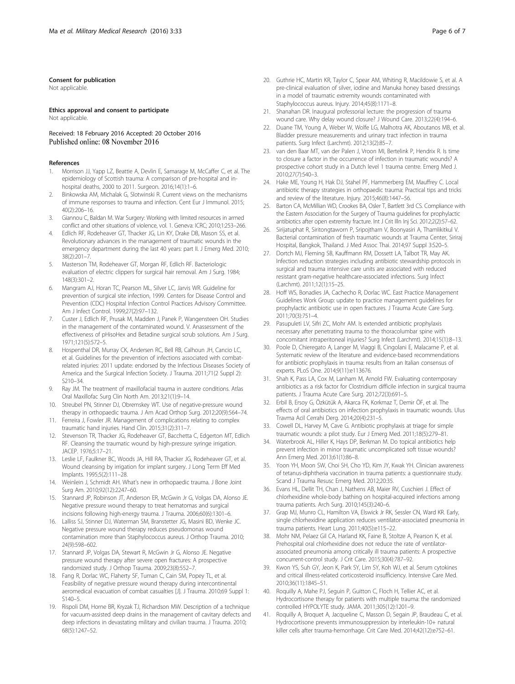#### <span id="page-5-0"></span>Consent for publication

Not applicable.

Ethics approval and consent to participate Not applicable.

Received: 18 February 2016 Accepted: 20 October 2016

#### References

- 1. Morrison JJ, Yapp LZ, Beattie A, Devlin E, Samarage M, McCaffer C, et al. The epidemiology of Scottish trauma: A comparison of pre-hospital and inhospital deaths, 2000 to 2011. Surgeon. 2016;14(1):1–6.
- 2. Binkowska AM, Michalak G, Slotwinski R. Current views on the mechanisms of immune responses to trauma and infection. Cent Eur J Immunol. 2015; 40(2):206–16.
- 3. Giannou C, Baldan M. War Surgery: Working with limited resources in armed conflict and other situations of violence, vol. 1. Geneva: ICRC; 2010;1:253–266.
- 4. Edlich RF, Rodeheaver GT, Thacker JG, Lin KY, Drake DB, Mason SS, et al. Revolutionary advances in the management of traumatic wounds in the emergency department during the last 40 years: part II. J Emerg Med. 2010; 38(2):201–7.
- 5. Masterson TM, Rodeheaver GT, Morgan RF, Edlich RF. Bacteriologic evaluation of electric clippers for surgical hair removal. Am J Surg. 1984; 148(3):301–2.
- 6. Mangram AJ, Horan TC, Pearson ML, Silver LC, Jarvis WR. Guideline for prevention of surgical site infection, 1999. Centers for Disease Control and Prevention (CDC) Hospital Infection Control Practices Advisory Committee. Am J Infect Control. 1999;27(2):97–132.
- 7. Custer J, Edlich RF, Prusak M, Madden J, Panek P, Wangensteen OH. Studies in the management of the contaminated wound. V. Anassessment of the effectiveness of pHisoHex and Betadine surgical scrub solutions. Am J Surg. 1971;121(5):572–5.
- 8. Hospenthal DR, Murray CK, Andersen RC, Bell RB, Calhoun JH, Cancio LC, et al. Guidelines for the prevention of infections associated with combatrelated injuries: 2011 update: endorsed by the Infectious Diseases Society of America and the Surgical Infection Society. J Trauma. 2011;71(2 Suppl 2): S210–34.
- 9. Ray JM. The treatment of maxillofacial trauma in austere conditions. Atlas Oral Maxillofac Surg Clin North Am. 2013;21(1):9–14.
- 10. Streubel PN, Stinner DJ, Obremskey WT. Use of negative-pressure wound therapy in orthopaedic trauma. J Am Acad Orthop Surg. 2012;20(9):564–74.
- 11. Ferreira J, Fowler JR. Management of complications relating to complex traumatic hand injuries. Hand Clin. 2015;31(2):311–7.
- 12. Stevenson TR, Thacker JG, Rodeheaver GT, Bacchetta C, Edgerton MT, Edlich RF. Cleansing the traumatic wound by high-pressure syringe irrigation. JACEP. 1976;5:17–21.
- 13. Leslie LF, Faulkner BC, Woods JA, Hill RA, Thacker JG, Rodeheaver GT, et al. Wound cleansing by irrigation for implant surgery. J Long Term Eff Med Implants. 1995;5(2):111–28.
- 14. Weinlein J, Schmidt AH. What's new in orthopaedic trauma. J Bone Joint Surg Am. 2010;92(12):2247–60.
- 15. Stannard JP, Robinson JT, Anderson ER, McGwin Jr G, Volgas DA, Alonso JE. Negative pressure wound therapy to treat hematomas and surgical incisions following high-energy trauma. J Trauma. 2006;60(6):1301–6.
- 16. Lalliss SJ, Stinner DJ, Waterman SM, Branstetter JG, Masini BD, Wenke JC. Negative pressure wound therapy reduces pseudomonas wound contamination more than Staphylococcus aureus. J Orthop Trauma. 2010; 24(9):598–602.
- 17. Stannard JP, Volgas DA, Stewart R, McGwin Jr G, Alonso JE. Negative pressure wound therapy after severe open fractures: A prospective randomized study. J Orthop Trauma. 2009;23(8):552–7.
- 18. Fang R, Dorlac WC, Flaherty SF, Tuman C, Cain SM, Popey TL, et al. Feasibility of negative pressure wound therapy during intercontinental aeromedical evacuation of combat casualties [J]. J Trauma. 2010;69 Suppl 1: S140–5.
- 19. Rispoli DM, Horne BR, Kryzak TJ, Richardson MW. Description of a technique for vacuum-assisted deep drains in the management of cavitary defects and deep infections in devastating military and civilian trauma. J Trauma. 2010; 68(5):1247–52.
- 20. Guthrie HC, Martin KR, Taylor C, Spear AM, Whiting R, Macildowie S, et al. A pre-clinical evaluation of silver, iodine and Manuka honey based dressings in a model of traumatic extremity wounds contaminated with Staphylococcus aureus. Injury. 2014;45(8):1171–8.
- 21. Shanahan DR. Inaugural professorial lecture: the progression of trauma wound care. Why delay wound closure? J Wound Care. 2013;22(4):194–6.
- 22. Duane TM, Young A, Weber W, Wolfe LG, Malhotra AK, Aboutanos MB, et al. Bladder pressure measurements and urinary tract infection in trauma patients. Surg Infect (Larchmt). 2012;13(2):85–7.
- 23. van den Baar MT, van der Palen J, Vroon MI, Bertelink P, Hendrix R. Is time to closure a factor in the occurrence of infection in traumatic wounds? A prospective cohort study in a Dutch level 1 trauma centre. Emerg Med J. 2010;27(7):540–3.
- 24. Hake ME, Young H, Hak DJ, Stahel PF, Hammerberg EM, Mauffrey C. Local antibiotic therapy strategies in orthopaedic trauma: Practical tips and tricks and review of the literature. Injury. 2015;46(8):1447–56.
- 25. Barton CA, McMillian WD, Crookes BA, Osler T, Bartlett 3rd CS. Compliance with the Eastern Association for the Surgery of Trauma guidelines for prophylactic antibiotics after open extremity fracture. Int J Crit Illn Inj Sci. 2012;2(2):57–62.
- 26. Sirijatuphat R, Siritongtaworn P, Sripojtham V, Boonyasiri A, Thamlikitkul V. Bacterial contamination of fresh traumatic wounds at Trauma Center, Siriraj Hospital, Bangkok, Thailand. J Med Assoc Thai. 2014;97 Suppl 3:S20–5.
- 27. Dortch MJ, Fleming SB, Kauffmann RM, Dossett LA, Talbot TR, May AK. Infection reduction strategies including antibiotic stewardship protocols in surgical and trauma intensive care units are associated with reduced resistant gram-negative healthcare-associated infections. Surg Infect (Larchmt). 2011;12(1):15–25.
- 28. Hoff WS, Bonadies JA, Cachecho R, Dorlac WC. East Practice Management Guidelines Work Group: update to practice management guidelines for prophylactic antibiotic use in open fractures. J Trauma Acute Care Surg. 2011;70(3):751–4.
- 29. Pasupuleti LV, Sifri ZC, Mohr AM. Is extended antibiotic prophylaxis necessary after penetrating trauma to the thoracolumbar spine with concomitant intraperitoneal injuries? Surg Infect (Larchmt). 2014;15(1):8–13.
- 30. Poole D, Chieregato A, Langer M, Viaggi B, Cingolani E, Malacarne P, et al. Systematic review of the literature and evidence-based recommendations for antibiotic prophylaxis in trauma: results from an Italian consensus of experts. PLoS One. 2014;9(11):e113676.
- 31. Shah K, Pass LA, Cox M, Lanham M, Arnold FW. Evaluating contemporary antibiotics as a risk factor for Clostridium difficile infection in surgical trauma patients. J Trauma Acute Care Surg. 2012;72(3):691–5.
- 32. Erbil B, Ersoy G, Özkütük A, Akarca FK, Korkmaz T, Demir ÖF, et al. The effects of oral antibiotics on infection prophylaxis in traumatic wounds. Ulus Travma Acil Cerrahi Derg. 2014;20(4):231–5.
- 33. Cowell DL, Harvey M, Cave G. Antibiotic prophylaxis at triage for simple traumatic wounds: a pilot study. Eur J Emerg Med. 2011;18(5):279–81.
- 34. Waterbrook AL, Hiller K, Hays DP, Berkman M. Do topical antibiotics help prevent infection in minor traumatic uncomplicated soft tissue wounds? Ann Emerg Med. 2013;61(1):86–8.
- 35. Yoon YH, Moon SW, Choi SH, Cho YD, Kim JY, Kwak YH. Clinician awareness of tetanus-diphtheria vaccination in trauma patients: a questionnaire study. Scand J Trauma Resusc Emerg Med. 2012;20:35.
- 36. Evans HL, Dellit TH, Chan J, Nathens AB, Maier RV, Cuschieri J. Effect of chlorhexidine whole-body bathing on hospital-acquired infections among trauma patients. Arch Surg. 2010;145(3):240–6.
- 37. Grap MJ, Munro CL, Hamilton VA, Elswick Jr RK, Sessler CN, Ward KR. Early, single chlorhexidine application reduces ventilator-associated pneumonia in trauma patients. Heart Lung. 2011;40(5):e115–22.
- 38. Mohr NM, Pelaez Gil CA, Harland KK, Faine B, Stoltze A, Pearson K, et al. Prehospital oral chlorhexidine does not reduce the rate of ventilatorassociated pneumonia among critically ill trauma patients: A prospective concurrent-control study. J Crit Care. 2015;30(4):787–92.
- 39. Kwon YS, Suh GY, Jeon K, Park SY, Lim SY, Koh WJ, et al. Serum cytokines and critical illness-related corticosteroid insufficiency. Intensive Care Med. 2010;36(11):1845–51.
- 40. Roquilly A, Mahe PJ, Seguin P, Guitton C, Floch H, Tellier AC, et al. Hydrocortisone therapy for patients with multiple trauma: the randomized controlled HYPOLYTE study. JAMA. 2011;305(12):1201–9.
- 41. Roquilly A, Broquet A, Jacqueline C, Masson D, Segain JP, Braudeau C, et al. Hydrocortisone prevents immunosuppression by interleukin-10+ natural killer cells after trauma-hemorrhage. Crit Care Med. 2014;42(12):e752–61.